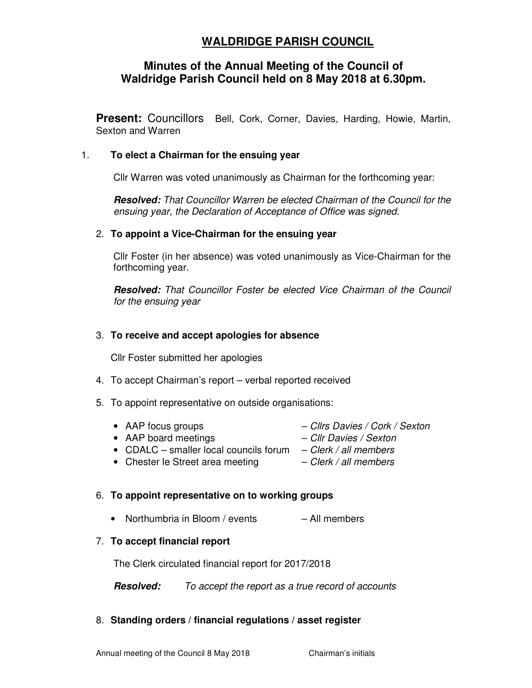# **WALDRIDGE PARISH COUNCIL**

# **Minutes of the Annual Meeting of the Council of Waldridge Parish Council held on 8 May 2018 at 6.30pm.**

**Present:** Councillors Bell, Cork, Corner, Davies, Harding, Howie, Martin, Sexton and Warren

#### 1. **To elect a Chairman for the ensuing year**

Cllr Warren was voted unanimously as Chairman for the forthcoming year:

**Resolved:** That Councillor Warren be elected Chairman of the Council for the ensuing year, the Declaration of Acceptance of Office was signed.

#### 2. **To appoint a Vice-Chairman for the ensuing year**

Cllr Foster (in her absence) was voted unanimously as Vice-Chairman for the forthcoming year.

**Resolved:** That Councillor Foster be elected Vice Chairman of the Council for the ensuing year

#### 3. **To receive and accept apologies for absence**

Cllr Foster submitted her apologies

- 4. To accept Chairman's report verbal reported received
- 5. To appoint representative on outside organisations:
	- AAP focus groups Clirs Davies / Cork / Sexton
	- AAP board meetings Cllr Davies / Sexton
	- CDALC smaller local councils forum  $-$  Clerk / all members
	- Chester le Street area meeting  $-$  Clerk / all members

# 6. **To appoint representative on to working groups**

• Northumbria in Bloom / events – All members

# 7. **To accept financial report**

The Clerk circulated financial report for 2017/2018

**Resolved:** To accept the report as a true record of accounts

# 8. **Standing orders / financial regulations / asset register**